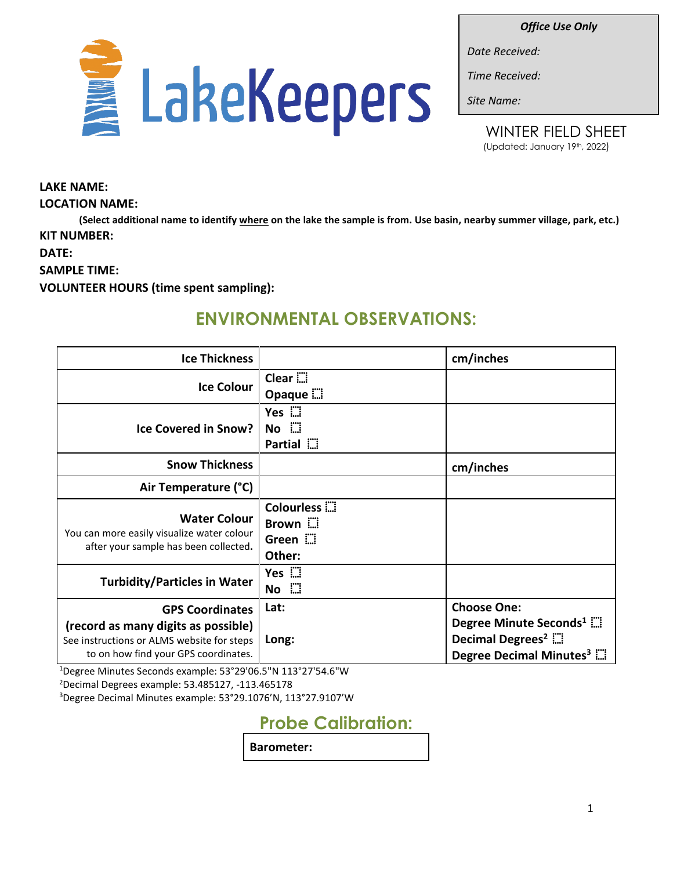*Office Use Only*



*Date Received:*

*Time Received:*

*Site Name:*

**LAKE NAME:**

### **LOCATION NAME:**

**(Select additional name to identify where on the lake the sample is from. Use basin, nearby summer village, park, etc.) KIT NUMBER:** 

**DATE:**

**SAMPLE TIME:**

**VOLUNTEER HOURS (time spent sampling):**

# **ENVIRONMENTAL OBSERVATIONS:**

| <b>Ice Thickness</b>                                                                                                      |                                                            | cm/inches                                                                                                 |
|---------------------------------------------------------------------------------------------------------------------------|------------------------------------------------------------|-----------------------------------------------------------------------------------------------------------|
| <b>Ice Colour</b>                                                                                                         | Clear $\dddot{a}$<br>Opaque $\dddot{m}$                    |                                                                                                           |
| <b>Ice Covered in Snow?</b>                                                                                               | Yes $\mathbb{Z}$<br>$No$ $\dddot{a}$<br>Partial ::         |                                                                                                           |
| <b>Snow Thickness</b>                                                                                                     |                                                            | cm/inches                                                                                                 |
| Air Temperature (°C)                                                                                                      |                                                            |                                                                                                           |
| <b>Water Colour</b><br>You can more easily visualize water colour<br>after your sample has been collected.                | Colourless <b>E</b><br>Brown $\dddot{}$<br>Green<br>Other: |                                                                                                           |
| <b>Turbidity/Particles in Water</b>                                                                                       | Yes :<br>$No$ $\dddot{}$                                   |                                                                                                           |
| <b>GPS Coordinates</b>                                                                                                    | Lat:                                                       | <b>Choose One:</b>                                                                                        |
| (record as many digits as possible)<br>See instructions or ALMS website for steps<br>to on how find your GPS coordinates. | Long:                                                      | Degree Minute Seconds <sup>1</sup><br>Decimal Degrees <sup>2</sup><br>Degree Decimal Minutes <sup>3</sup> |

1 Degree Minutes Seconds example: 53°29'06.5"N 113°27'54.6"W 2 Decimal Degrees example: 53.485127, -113.465178

3 Degree Decimal Minutes example: 53°29.1076'N, 113°27.9107'W

**Probe Calibration:**

**Barometer:**